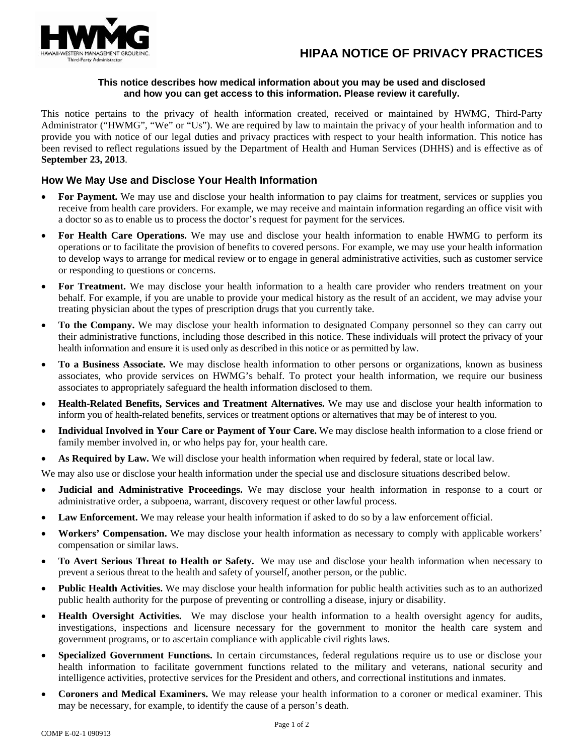# **HIPAA NOTICE OF PRIVACY PRACTICES**



#### **This notice describes how medical information about you may be used and disclosed and how you can get access to this information. Please review it carefully.**

This notice pertains to the privacy of health information created, received or maintained by HWMG, Third-Party Administrator ("HWMG", "We" or "Us"). We are required by law to maintain the privacy of your health information and to provide you with notice of our legal duties and privacy practices with respect to your health information. This notice has been revised to reflect regulations issued by the Department of Health and Human Services (DHHS) and is effective as of **September 23, 2013**.

# **How We May Use and Disclose Your Health Information**

- For Payment. We may use and disclose your health information to pay claims for treatment, services or supplies you receive from health care providers. For example, we may receive and maintain information regarding an office visit with a doctor so as to enable us to process the doctor's request for payment for the services.
- **For Health Care Operations.** We may use and disclose your health information to enable HWMG to perform its operations or to facilitate the provision of benefits to covered persons. For example, we may use your health information to develop ways to arrange for medical review or to engage in general administrative activities, such as customer service or responding to questions or concerns.
- **For Treatment.** We may disclose your health information to a health care provider who renders treatment on your behalf. For example, if you are unable to provide your medical history as the result of an accident, we may advise your treating physician about the types of prescription drugs that you currently take.
- **To the Company.** We may disclose your health information to designated Company personnel so they can carry out their administrative functions, including those described in this notice. These individuals will protect the privacy of your health information and ensure it is used only as described in this notice or as permitted by law.
- **To a Business Associate.** We may disclose health information to other persons or organizations, known as business associates, who provide services on HWMG's behalf. To protect your health information, we require our business associates to appropriately safeguard the health information disclosed to them.
- **Health-Related Benefits, Services and Treatment Alternatives.** We may use and disclose your health information to inform you of health-related benefits, services or treatment options or alternatives that may be of interest to you.
- **Individual Involved in Your Care or Payment of Your Care.** We may disclose health information to a close friend or family member involved in, or who helps pay for, your health care.
- **As Required by Law.** We will disclose your health information when required by federal, state or local law.

We may also use or disclose your health information under the special use and disclosure situations described below.

- **Judicial and Administrative Proceedings.** We may disclose your health information in response to a court or administrative order, a subpoena, warrant, discovery request or other lawful process.
- **Law Enforcement.** We may release your health information if asked to do so by a law enforcement official.
- **Workers' Compensation.** We may disclose your health information as necessary to comply with applicable workers' compensation or similar laws.
- **To Avert Serious Threat to Health or Safety.** We may use and disclose your health information when necessary to prevent a serious threat to the health and safety of yourself, another person, or the public.
- **Public Health Activities.** We may disclose your health information for public health activities such as to an authorized public health authority for the purpose of preventing or controlling a disease, injury or disability.
- **Health Oversight Activities.** We may disclose your health information to a health oversight agency for audits, investigations, inspections and licensure necessary for the government to monitor the health care system and government programs, or to ascertain compliance with applicable civil rights laws.
- **Specialized Government Functions.** In certain circumstances, federal regulations require us to use or disclose your health information to facilitate government functions related to the military and veterans, national security and intelligence activities, protective services for the President and others, and correctional institutions and inmates.
- **Coroners and Medical Examiners.** We may release your health information to a coroner or medical examiner. This may be necessary, for example, to identify the cause of a person's death.